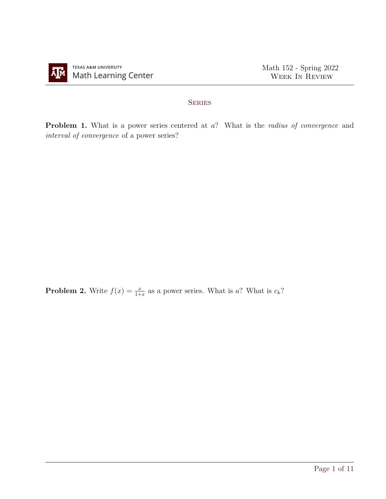

## **SERIES**

Problem 1. What is a power series centered at a? What is the *radius of convergence* and interval of convergence of a power series?

**Problem 2.** Write  $f(x) = \frac{x}{1+x}$  as a power series. What is a? What is  $c_k$ ?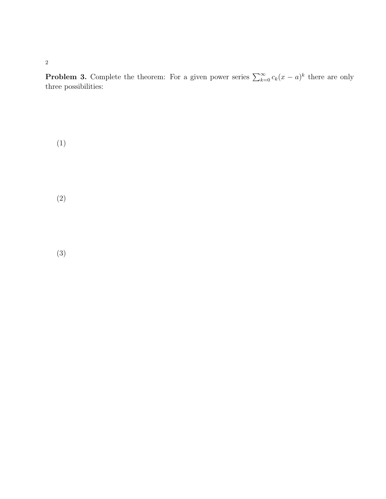**Problem 3.** Complete the theorem: For a given power series  $\sum_{k=0}^{\infty} c_k(x-a)^k$  there are only three possibilities:

(1)

2

(2)

(3)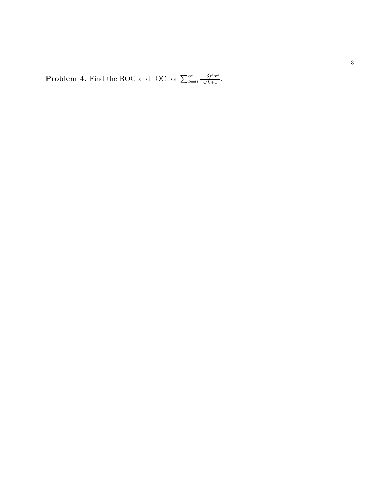**Problem 4.** Find the ROC and IOC for  $\sum_{k=1}^{\infty}$  $k=0$  $\frac{(-3)^k x^k}{\sqrt{k+1}}$ .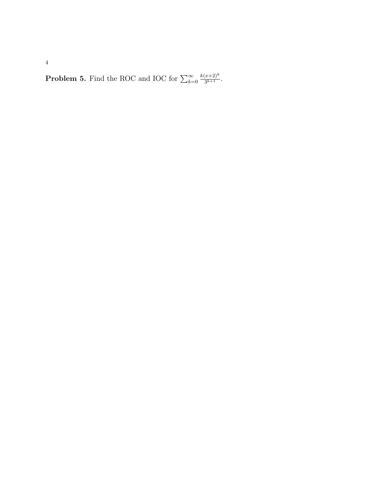**Problem 5.** Find the ROC and IOC for  $\sum_{k=0}^{\infty}$  $k(x+2)^k$  $\frac{(x+2)^n}{3^{k+1}}$ .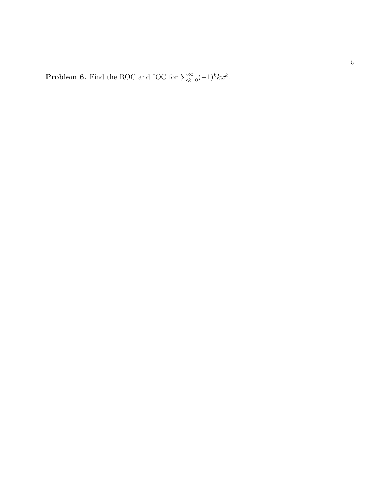**Problem 6.** Find the ROC and IOC for  $\sum_{k=1}^{\infty}$  $\sum_{k=0}^{\infty}(-1)^k kx^k.$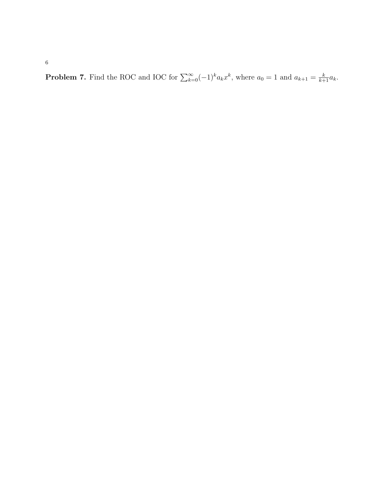**Problem 7.** Find the ROC and IOC for  $\sum_{k=0}^{\infty}(-1)^{k}a_{k}x^{k}$ , where  $a_{0}=1$  and  $a_{k+1}=\frac{k}{k+1}a_{k}$ .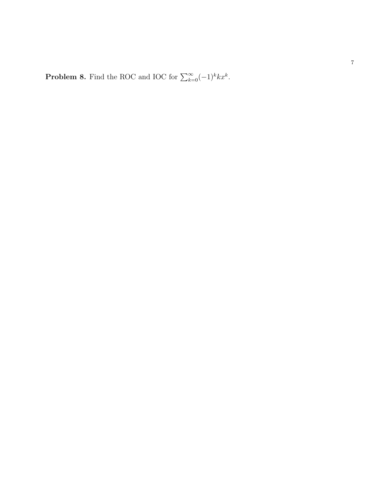**Problem 8.** Find the ROC and IOC for  $\sum_{k=1}^{\infty}$  $\sum_{k=0}^{\infty}(-1)^k kx^k.$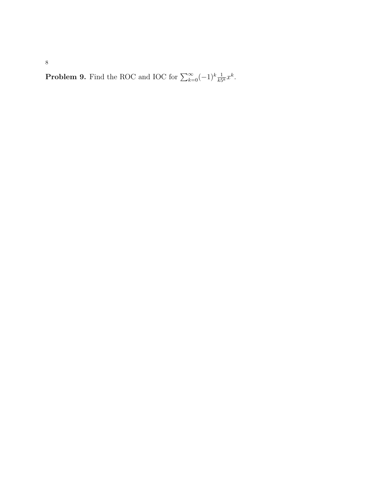**Problem 9.** Find the ROC and IOC for  $\sum_{k=0}^{\infty}(-1)^k \frac{1}{k5^k} x^k$ .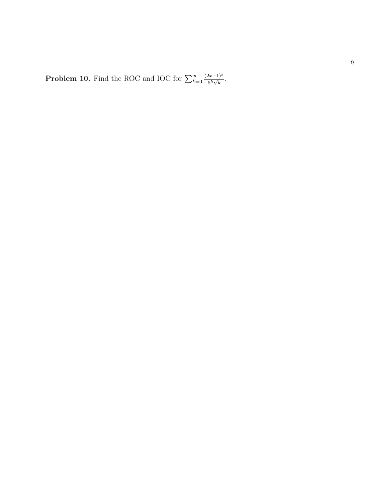**Problem 10.** Find the ROC and IOC for  $\sum_{k=1}^{\infty}$  $k=0$  $(2x-1)^k$  $\frac{2x-1)^n}{5^k\sqrt{k}}$ .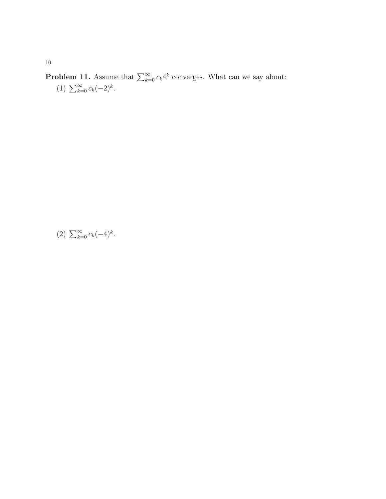**Problem 11.** Assume that  $\sum_{k=0}^{\infty} c_k 4^k$  converges. What can we say about: (1)  $\sum_{k=0}^{\infty} c_k (-2)^k$ .

$$
(2) \sum_{k=0}^{\infty} c_k(-4)^k.
$$